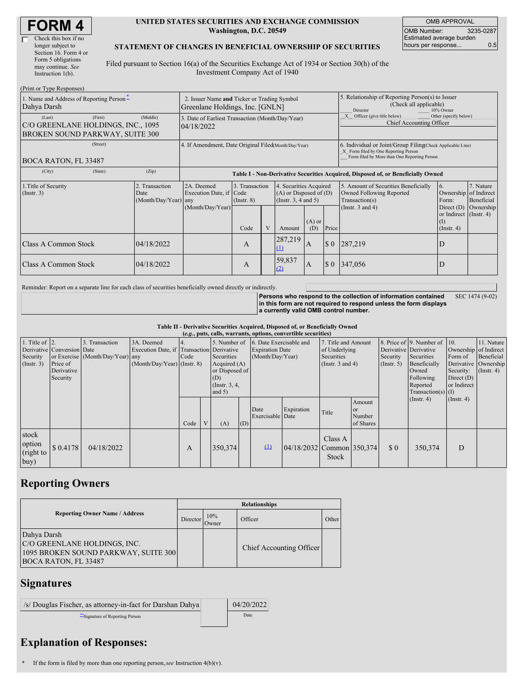| <b>FORM4</b> |
|--------------|
|--------------|

#### **UNITED STATES SECURITIES AND EXCHANGE COMMISSION Washington, D.C. 20549**

OMB APPROVAL OMB Number: 3235-0287 Estimated average burden hours per response... 0.5

#### **STATEMENT OF CHANGES IN BENEFICIAL OWNERSHIP OF SECURITIES**

Filed pursuant to Section 16(a) of the Securities Exchange Act of 1934 or Section 30(h) of the Investment Company Act of 1940

| (Print or Type Responses)                                                                  |                                                                                |                                                                                  |                                   |  |                                                                                  |                                                                                                     |                                                                                 |                                                                                                                                                    |                                                              |                         |  |
|--------------------------------------------------------------------------------------------|--------------------------------------------------------------------------------|----------------------------------------------------------------------------------|-----------------------------------|--|----------------------------------------------------------------------------------|-----------------------------------------------------------------------------------------------------|---------------------------------------------------------------------------------|----------------------------------------------------------------------------------------------------------------------------------------------------|--------------------------------------------------------------|-------------------------|--|
| 1. Name and Address of Reporting Person-<br>Dahya Darsh                                    | 2. Issuer Name and Ticker or Trading Symbol<br>Greenlane Holdings, Inc. [GNLN] |                                                                                  |                                   |  |                                                                                  | 5. Relationship of Reporting Person(s) to Issuer<br>(Check all applicable)<br>10% Owner<br>Director |                                                                                 |                                                                                                                                                    |                                                              |                         |  |
| (First)<br>(Last)<br>C/O GREENLANE HOLDINGS, INC., 1095<br>BROKEN SOUND PARKWAY, SUITE 300 | 3. Date of Earliest Transaction (Month/Day/Year)<br>04/18/2022                 |                                                                                  |                                   |  |                                                                                  |                                                                                                     | Other (specify below)<br>Officer (give title below)<br>Chief Accounting Officer |                                                                                                                                                    |                                                              |                         |  |
| (Street)<br><b>BOCA RATON, FL 33487</b>                                                    |                                                                                | 4. If Amendment, Date Original Filed(Month/Day/Year)                             |                                   |  |                                                                                  |                                                                                                     |                                                                                 | 6. Individual or Joint/Group Filing(Check Applicable Line)<br>X Form filed by One Reporting Person<br>Form filed by More than One Reporting Person |                                                              |                         |  |
| (City)<br>(State)                                                                          | (Zip)                                                                          | Table I - Non-Derivative Securities Acquired, Disposed of, or Beneficially Owned |                                   |  |                                                                                  |                                                                                                     |                                                                                 |                                                                                                                                                    |                                                              |                         |  |
| 1. Title of Security<br>(Insert. 3)                                                        | 2. Transaction<br>Date<br>(Month/Day/Year) any                                 | 2A. Deemed<br>Execution Date, if Code<br>(Month/Day/Year)                        | 3. Transaction<br>$($ Instr. $8)$ |  | 4. Securities Acquired<br>$(A)$ or Disposed of $(D)$<br>(Instr. $3, 4$ and $5$ ) |                                                                                                     |                                                                                 | 5. Amount of Securities Beneficially<br>Owned Following Reported<br>Transaction(s)                                                                 | <sup>6.</sup><br>Ownership of Indirect<br>Form:              | 7. Nature<br>Beneficial |  |
|                                                                                            |                                                                                |                                                                                  | Code                              |  | Amount                                                                           | $(A)$ or<br>(D)                                                                                     | Price                                                                           | (Instr. $3$ and $4$ )                                                                                                                              | Direct $(D)$<br>or Indirect (Instr. 4)<br>(1)<br>(Insert, 4) | Ownership               |  |
| <b>Class A Common Stock</b>                                                                | 04/18/2022                                                                     |                                                                                  | A                                 |  | 287,219<br>$\Omega$                                                              | $\mathbf{A}$                                                                                        | $\Omega$                                                                        | 287,219                                                                                                                                            | D                                                            |                         |  |
| <b>Class A Common Stock</b>                                                                | 04/18/2022                                                                     |                                                                                  | A                                 |  | 59,837<br>(2)                                                                    | A                                                                                                   | $\Omega$                                                                        | 347,056                                                                                                                                            | D                                                            |                         |  |

Reminder: Report on a separate line for each class of securities beneficially owned directly or indirectly.

**Persons who respond to the collection of information contained in this form are not required to respond unless the form displays a currently valid OMB control number.** SEC 1474 (9-02)

**Table II - Derivative Securities Acquired, Disposed of, or Beneficially Owned**

| (e.g., puts, calls, warrants, options, convertible securities) |                                                                  |                                                    |                                                                                          |             |                                                                                      |         |                                                                                    |                          |                                                                             |                  |                                                       |                                                                                                                      |                                                     |                                                                                               |  |
|----------------------------------------------------------------|------------------------------------------------------------------|----------------------------------------------------|------------------------------------------------------------------------------------------|-------------|--------------------------------------------------------------------------------------|---------|------------------------------------------------------------------------------------|--------------------------|-----------------------------------------------------------------------------|------------------|-------------------------------------------------------|----------------------------------------------------------------------------------------------------------------------|-----------------------------------------------------|-----------------------------------------------------------------------------------------------|--|
| 1. Title of $\vert$ 2.<br>Security<br>$($ Instr. 3 $)$         | Derivative Conversion Date<br>Price of<br>Derivative<br>Security | 3. Transaction<br>or Exercise (Month/Day/Year) any | 3A. Deemed<br>Execution Date, if Transaction Derivative<br>$(Month/Day/Year)$ (Instr. 8) | 14.<br>Code | Securities<br>Acquired $(A)$<br>or Disposed of<br>(D)<br>(Instr. $3, 4,$<br>and $5)$ |         | 5. Number of 6. Date Exercisable and<br><b>Expiration Date</b><br>(Month/Day/Year) |                          | 7. Title and Amount<br>of Underlying<br>Securities<br>(Instr. $3$ and $4$ ) |                  | Derivative Derivative<br>Security<br>$($ Instr. 5 $)$ | 8. Price of 9. Number of 10.<br>Securities<br>Beneficially<br>Owned<br>Following<br>Reported<br>Transaction(s) $(I)$ | Form of<br>Security:<br>Direct $(D)$<br>or Indirect | 11. Nature<br>Ownership of Indirect<br>Beneficial<br>Derivative Ownership<br>$($ Instr. 4 $)$ |  |
|                                                                |                                                                  |                                                    |                                                                                          | Code        |                                                                                      | (A)     | (D)                                                                                | Date<br>Exercisable Date | Expiration                                                                  | Title            | Amount<br><sub>or</sub><br>Number<br>of Shares        |                                                                                                                      | (Insert. 4)                                         | $($ Instr. 4 $)$                                                                              |  |
| stock<br>option<br>(right to<br>buy)                           | \$ 0.4178                                                        | 04/18/2022                                         |                                                                                          | А           |                                                                                      | 350,374 |                                                                                    | $\mathbf{u}$             | $ 04/18/2032 $ Common 350,374                                               | Class A<br>Stock |                                                       | $\Omega$                                                                                                             | 350,374                                             | D                                                                                             |  |

# **Reporting Owners**

|                                                                                                                    | <b>Relationships</b> |              |                          |       |  |  |  |  |
|--------------------------------------------------------------------------------------------------------------------|----------------------|--------------|--------------------------|-------|--|--|--|--|
| <b>Reporting Owner Name / Address</b>                                                                              |                      | 10%<br>Owner | Officer                  | Other |  |  |  |  |
| Dahya Darsh<br>C/O GREENLANE HOLDINGS, INC.<br>1095 BROKEN SOUND PARKWAY, SUITE 300<br><b>BOCA RATON, FL 33487</b> |                      |              | Chief Accounting Officer |       |  |  |  |  |

# **Signatures**

| /s/ Douglas Fischer, as attorney-in-fact for Darshan Dahya | 04/20/2022 |
|------------------------------------------------------------|------------|
| Signature of Reporting Person                              | Date       |

## **Explanation of Responses:**

**<sup>\*</sup>** If the form is filed by more than one reporting person,*see* Instruction 4(b)(v).